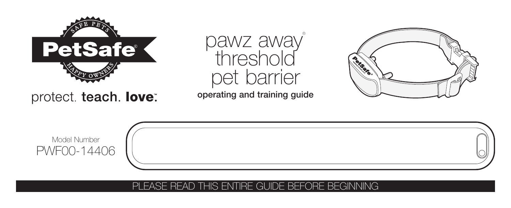

protect. teach. love:

Model Number

pawz away® threshold pet barrier

operating and training guide





### PLEASE READ THIS ENTIRE GUIDE BEFORE BEGINNING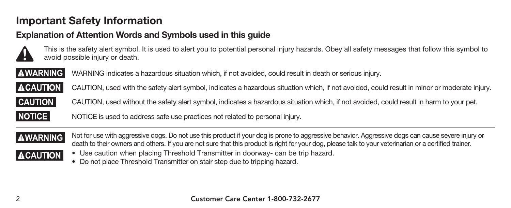# **Important Safety Information**

### **Explanation of Attention Words and Symbols used in this guide**



This is the safety alert symbol. It is used to alert you to potential personal injury hazards. Obey all safety messages that follow this symbol to avoid possible injury or death.



WARNING indicates a hazardous situation which, if not avoided, could result in death or serious injury.

**ACAUTION** CAUTION, used with the safety alert symbol, indicates a hazardous situation which, if not avoided, could result in minor or moderate injury.



CAUTION, used without the safety alert symbol, indicates a hazardous situation which, if not avoided, could result in harm to your pet.

**NOTICE** NOTICE is used to address safe use practices not related to personal injury.



Not for use with aggressive dogs. Do not use this product if your dog is prone to aggressive behavior. Aggressive dogs can cause severe injury or death to their owners and others. If you are not sure that this product is right for your dog, please talk to your veterinarian or a certified trainer.



- Use caution when placing Threshold Transmitter in doorway- can be trip hazard.
- Do not place Threshold Transmitter on stair step due to tripping hazard.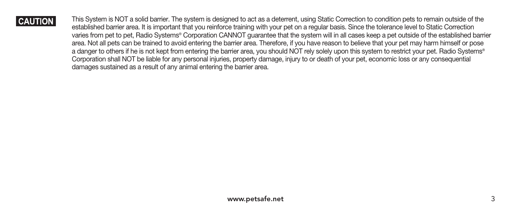#### **CAUTION**

This System is NOT a solid barrier. The system is designed to act as a deterrent, using Static Correction to condition pets to remain outside of the established barrier area. It is important that you reinforce training with your pet on a regular basis. Since the tolerance level to Static Correction varies from pet to pet, Radio Systems® Corporation CANNOT guarantee that the system will in all cases keep a pet outside of the established barrier area. Not all pets can be trained to avoid entering the barrier area. Therefore, if you have reason to believe that your pet may harm himself or pose a danger to others if he is not kept from entering the barrier area, you should NOT rely solely upon this system to restrict your pet. Radio Systems® Corporation shall NOT be liable for any personal injuries, property damage, injury to or death of your pet, economic loss or any consequential damages sustained as a result of any animal entering the barrier area.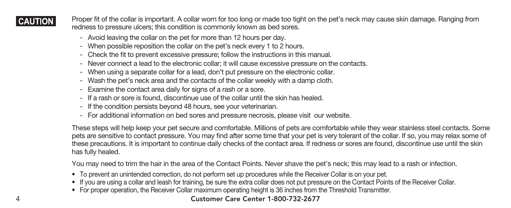### **CAUTION**

Proper fit of the collar is important. A collar worn for too long or made too tight on the pet's neck may cause skin damage. Ranging from redness to pressure ulcers; this condition is commonly known as bed sores.

- Avoid leaving the collar on the pet for more than 12 hours per day.
- When possible reposition the collar on the pet's neck every 1 to 2 hours.
- Check the fit to prevent excessive pressure; follow the instructions in this manual.
- Never connect a lead to the electronic collar; it will cause excessive pressure on the contacts.
- When using a separate collar for a lead, don't put pressure on the electronic collar.
- Wash the pet's neck area and the contacts of the collar weekly with a damp cloth.
- Examine the contact area daily for signs of a rash or a sore.
- If a rash or sore is found, discontinue use of the collar until the skin has healed.
- If the condition persists beyond 48 hours, see your veterinarian.
- For additional information on bed sores and pressure necrosis, please visit our website.

These steps will help keep your pet secure and comfortable. Millions of pets are comfortable while they wear stainless steel contacts. Some pets are sensitive to contact pressure. You may find after some time that your pet is very tolerant of the collar. If so, you may relax some of these precautions. It is important to continue daily checks of the contact area. If redness or sores are found, discontinue use until the skin has fully healed.

You may need to trim the hair in the area of the Contact Points. Never shave the pet's neck; this may lead to a rash or infection.

- To prevent an unintended correction, do not perform set up procedures while the Receiver Collar is on your pet.
- If you are using a collar and leash for training, be sure the extra collar does not put pressure on the Contact Points of the Receiver Collar.
- For proper operation, the Receiver Collar maximum operating height is 36 inches from the Threshold Transmitter.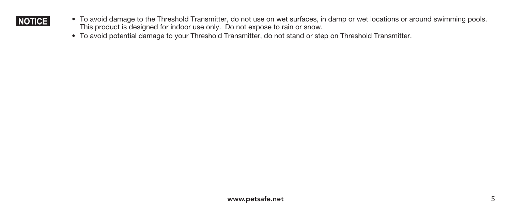

- To avoid damage to the Threshold Transmitter, do not use on wet surfaces, in damp or wet locations or around swimming pools. This product is designed for indoor use only. Do not expose to rain or snow.
- To avoid potential damage to your Threshold Transmitter, do not stand or step on Threshold Transmitter.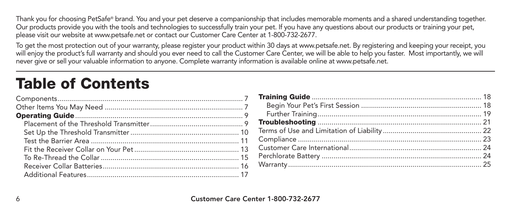Thank you for choosing PetSafe® brand. You and your pet deserve a companionship that includes memorable moments and a shared understanding together. Our products provide you with the tools and technologies to successfully train your pet. If you have any questions about our products or training your pet, please visit our website at www.petsafe.net or contact our Customer Care Center at 1-800-732-2677.

To get the most protection out of your warranty, please register your product within 30 days at www.petsafe.net. By registering and keeping your receipt, you will enjoy the product's full warranty and should you ever need to call the Customer Care Center, we will be able to help you faster. Most importantly, we will never give or sell your valuable information to anyone. Complete warranty information is available online at www.petsafe.net.

# Table of Contents

|  | <b>Training Guide</b>   |
|--|-------------------------|
|  | <b>Begin Your Pet's</b> |
|  | <b>Further Training</b> |
|  | <b>Troubleshooting</b>  |
|  | Terms of Use and        |
|  | Compliance              |
|  | Customer Care Int       |
|  | Perchlorate Batter      |
|  | Warranty                |
|  |                         |
|  |                         |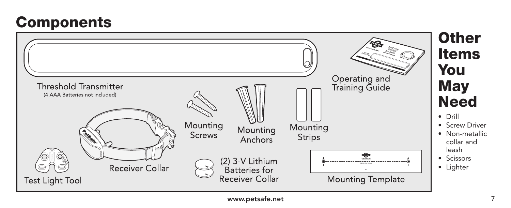# Components

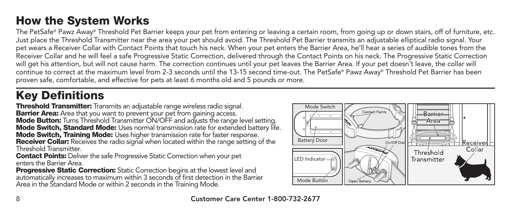# How the System Works

The PetSafe® Pawz Away® Threshold Pet Barrier keeps your pet from entering or leaving a certain room, from going up or down stairs, off of furniture, etc. Just place the Threshold Transmitter near the area your pet should avoid. The Threshold Pet Barrier transmits an adjustable elliptical radio signal. Your pet wears a Receiver Collar with Contact Points that touch his neck. When your pet enters the Barrier Area, he'll hear a series of audible tones from the Receiver Collar and he will feel a safe Progressive Static Correction, delivered through the Contact Points on his neck. The Progressive Static Correction will get his attention, but will not cause harm. The correction continues until your pet leaves the Barrier Area. If your pet doesn't leave, the collar will continue to correct at the maximum level from 2-3 seconds until the 13-15 second time-out. The PetSafe® Pawz Away® Threshold Pet Barrier has been proven safe, comfortable, and effective for pets at least 6 months old and 5 pounds or more.

# Key Definitions

**Threshold Transmitter:** Transmits an adjustable range wireless radio signal. **Barrier Area:** Area that you want to prevent your pet from gaining access. **Mode Button:** Turns Threshold Transmitter ON/OFF and adjusts the range level setting. Mode Switch, Standard Mode: Uses normal transmission rate for extended battery life. Mode Switch, Training Mode: Uses higher transmission rate for faster response. Receiver Collar: Receives the radio signal when located within the range setting of the Threshold Transmitter.

**Contact Points:** Deliver the safe Progressive Static Correction when your pet enters the Barrier Area.

Progressive Static Correction: Static Correction begins at the lowest level and automatically increases to maximum within 3 seconds of first detection in the Barrier automatically increases to maximum within 3 seconds or first detection in the Barrier Mode Button<br>Area in the Standard Mode or within 2 seconds in the Training Mode.

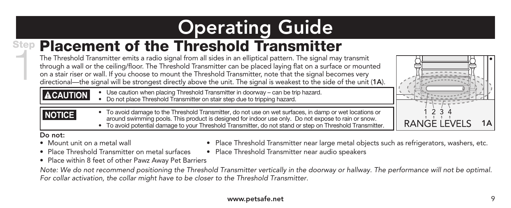# **Operating Guide**

# Step Placement of the Threshold Transmitter |<br>|<br>|

The Threshold Transmitter emits a radio signal from all sides in an elliptical pattern. The signal may transmit through a wall or the ceiling/floor. The Threshold Transmitter can be placed laying flat on a surface or mounted on a stair riser or wall. If you choose to mount the Threshold Transmitter, note that the signal becomes very directional—the signal will be strongest directly above the unit. The signal is weakest to the side of the unit (1A).

| CAUTION |
|---------|
|---------|

- Use caution when placing Threshold Transmitter in doorway can be trip hazard.
	- Do not place Threshold Transmitter on stair step due to tripping hazard.
- To avoid damage to the Threshold Transmitter, do not use on wet surfaces, in damp or wet locations or around swimming pools. This product is designed for indoor use only. Do not expose to rain or snow.
	- To avoid potential damage to your Threshold Transmitter, do not stand or step on Threshold Transmitter. 1A

#### Do not:

**NOTICE** 

- 
- Mount unit on a metal wall **•** Place Threshold Transmitter near large metal objects such as refrigerators, washers, etc.
- Place Threshold Transmitter on metal surfaces Place Threshold Transmitter near audio speakers
- Place within 8 feet of other Pawz Away Pet Barriers
- 
- *Note: We do not recommend positioning the Threshold Transmitter vertically in the doorway or hallway. The performance will not be optimal. For collar activation, the collar might have to be closer to the Threshold Transmitter.*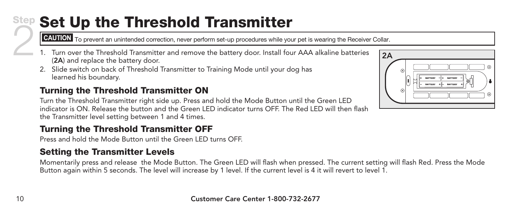# Set Up the Threshold Transmitter<br>
EQUION To prevent an unintended correction, never perform set-up procedures while you<br>
1. Turn over the Threshold Transmitter and remove the battery door. Install for<br>
(2A) and replace the

CAUTION To prevent an unintended correction, never perform set-up procedures while your pet is wearing the Receiver Collar.

- Turn over the Threshold Transmitter and remove the battery door. Install four AAA alkaline batteries (2A) and replace the battery door.
- 2. Slide switch on back of Threshold Transmitter to Training Mode until your dog has learned his boundary.

## Turning the Threshold Transmitter ON

Turn the Threshold Transmitter right side up. Press and hold the Mode Button until the Green LED indicator is ON. Release the button and the Green LED indicator turns OFF. The Red LED will then flash the Transmitter level setting between 1 and 4 times.

## Turning the Threshold Transmitter OFF

Press and hold the Mode Button until the Green LED turns OFF.

## Setting the Transmitter Levels

Momentarily press and release the Mode Button. The Green LED will flash when pressed. The current setting will flash Red. Press the Mode Button again within 5 seconds. The level will increase by 1 level. If the current level is 4 it will revert to level 1.

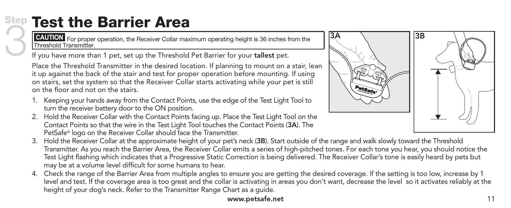# Step Test the Barrier Area<br>
Threshold Transmitter.<br>
If you have more than 1 pet, set up the Threshold

**CAUTION** For proper operation, the Receiver Collar maximum operating height is 36 inches from the Threshold Transmitter.

If you have more than 1 pet, set up the Threshold Pet Barrier for your tallest pet.

Place the Threshold Transmitter in the desired location. If planning to mount on a stair, lean it up against the back of the stair and test for proper operation before mounting. If using on stairs, set the system so that the Receiver Collar starts activating while your pet is still on the floor and not on the stairs.

- 1. Keeping your hands away from the Contact Points, use the edge of the Test Light Tool to turn the receiver battery door to the ON position.
- 2. Hold the Receiver Collar with the Contact Points facing up. Place the Test Light Tool on the Contact Points so that the wire in the Test Light Tool touches the Contact Points (3A). The PetSafe® logo on the Receiver Collar should face the Transmitter.



4. Check the range of the Barrier Area from multiple angles to ensure you are getting the desired coverage. If the setting is too low, increase by 1 level and test. If the coverage area is too great and the collar is activating in areas you don't want, decrease the level so it activates reliably at the height of your dog's neck. Refer to the Transmitter Range Chart as a guide.

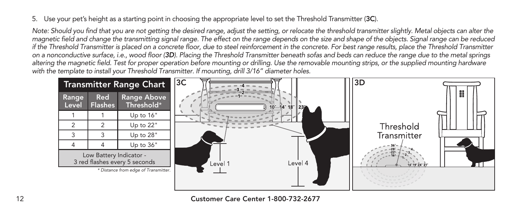#### 5. Use your pet's height as a starting point in choosing the appropriate level to set the Threshold Transmitter (3C).

Note: Should you find that you are not getting the desired range, adjust the setting, or relocate the threshold transmitter slightly. Metal objects can alter the *magnetic field and change the transmitting signal range. The effect on the range depends on the size and shape of the objects. Signal range can be reduced if the Threshold Transmitter is placed on a concrete floor, due to steel reinforcement in the concrete. For best range results, place the Threshold Transmitter on a nonconductive surface, i.e., wood floor (3D). Placing the Threshold Transmitter beneath sofas and beds can reduce the range due to the metal springs*  altering the magnetic field. Test for proper operation before mounting or drilling. Use the removable mounting strips, or the supplied mounting hardware *with the template to install your Threshold Transmitter. If mounting, drill 3/16" diameter holes.*

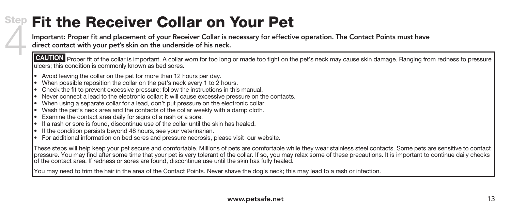Step Fit the Receiver Collar on Your Pet<br>
Important: Proper fit and placement of your Receiver Collar is necessary for effective<br>
direct contact with your pet's skin on the underside of his neck.<br>
CAUTION Proper fit of the Important: Proper fit and placement of your Receiver Collar is necessary for effective operation. The Contact Points must have direct contact with your pet's skin on the underside of his neck.

**CAUTION** Proper fit of the collar is important. A collar worn for too long or made too tight on the pet's neck may cause skin damage. Ranging from redness to pressure ulcers; this condition is commonly known as bed sores.

- Avoid leaving the collar on the pet for more than 12 hours per day.
- When possible reposition the collar on the pet's neck every 1 to 2 hours.
- Check the fit to prevent excessive pressure; follow the instructions in this manual.
- Never connect a lead to the electronic collar; it will cause excessive pressure on the contacts.
- When using a separate collar for a lead, don't put pressure on the electronic collar.
- Wash the pet's neck area and the contacts of the collar weekly with a damp cloth.
- Examine the contact area daily for signs of a rash or a sore.
- If a rash or sore is found, discontinue use of the collar until the skin has healed.
- If the condition persists beyond 48 hours, see your veterinarian.
- For additional information on bed sores and pressure necrosis, please visit our website.

These steps will help keep your pet secure and comfortable. Millions of pets are comfortable while they wear stainless steel contacts. Some pets are sensitive to contact pressure. You may find after some time that your pet is very tolerant of the collar. If so, you may relax some of these precautions. It is important to continue daily checks of the contact area. If redness or sores are found, discontinue use until the skin has fully healed.

You may need to trim the hair in the area of the Contact Points. Never shave the dog's neck; this may lead to a rash or infection.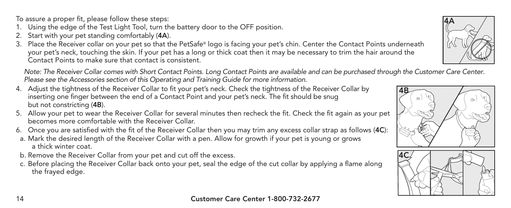To assure a proper fit, please follow these steps:

- 1. Using the edge of the Test Light Tool, turn the battery door to the OFF position.
- 2. Start with your pet standing comfortably (4A).
- 3. Place the Receiver collar on your pet so that the PetSafe® logo is facing your pet's chin. Center the Contact Points underneath your pet's neck, touching the skin. If your pet has a long or thick coat then it may be necessary to trim the hair around the Contact Points to make sure that contact is consistent.

*Note: The Receiver Collar comes with Short Contact Points. Long Contact Points are available and can be purchased through the Customer Care Center. Please see the Accessories section of this Operating and Training Guide for more information.*

- 4. Adjust the tightness of the Receiver Collar to fit your pet's neck. Check the tightness of the Receiver Collar by inserting one finger between the end of a Contact Point and your pet's neck. The fit should be snug but not constricting (4B).
- 5. Allow your pet to wear the Receiver Collar for several minutes then recheck the fit. Check the fit again as your pet becomes more comfortable with the Receiver Collar.
- 6. Once you are satisfied with the fit of the Receiver Collar then you may trim any excess collar strap as follows (4C):
- a. Mark the desired length of the Receiver Collar with a pen. Allow for growth if your pet is young or grows a thick winter coat.
- b. Remove the Receiver Collar from your pet and cut off the excess.
- c. Before placing the Receiver Collar back onto your pet, seal the edge of the cut collar by applying a flame along the frayed edge.





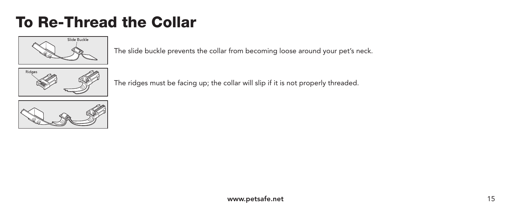# To Re-Thread the Collar



The slide buckle prevents the collar from becoming loose around your pet's neck.



The ridges must be facing up; the collar will slip if it is not properly threaded.

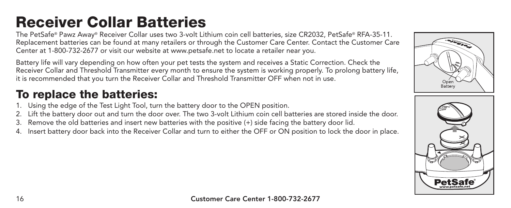# Receiver Collar Batteries

The PetSafe® Pawz Away® Receiver Collar uses two 3-volt Lithium coin cell batteries, size CR2032, PetSafe® RFA-35-11. Replacement batteries can be found at many retailers or through the Customer Care Center. Contact the Customer Care Center at 1-800-732-2677 or visit our website at www.petsafe.net to locate a retailer near you.

Battery life will vary depending on how often your pet tests the system and receives a Static Correction. Check the Receiver Collar and Threshold Transmitter every month to ensure the system is working properly. To prolong battery life, it is recommended that you turn the Receiver Collar and Threshold Transmitter OFF when not in use.

# To replace the batteries:

- 1. Using the edge of the Test Light Tool, turn the battery door to the OPEN position.
- Lift the battery door out and turn the door over. The two 3-volt Lithium coin cell batteries are stored inside the door.
- 3. Remove the old batteries and insert new batteries with the positive (+) side facing the battery door lid.
- 4. Insert battery door back into the Receiver Collar and turn to either the OFF or ON position to lock the door in place.



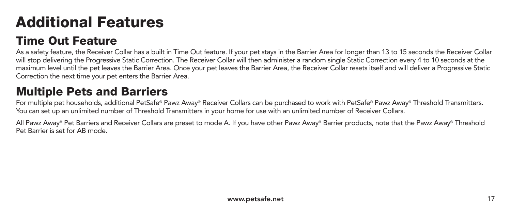# Additional Features

# Time Out Feature

As a safety feature, the Receiver Collar has a built in Time Out feature. If your pet stays in the Barrier Area for longer than 13 to 15 seconds the Receiver Collar will stop delivering the Progressive Static Correction. The Receiver Collar will then administer a random single Static Correction every 4 to 10 seconds at the maximum level until the pet leaves the Barrier Area. Once your pet leaves the Barrier Area, the Receiver Collar resets itself and will deliver a Progressive Static Correction the next time your pet enters the Barrier Area.

# Multiple Pets and Barriers

For multiple pet households, additional PetSafe® Pawz Away® Receiver Collars can be purchased to work with PetSafe® Pawz Away® Threshold Transmitters. You can set up an unlimited number of Threshold Transmitters in your home for use with an unlimited number of Receiver Collars.

All Pawz Away® Pet Barriers and Receiver Collars are preset to mode A. If you have other Pawz Away® Barrier products, note that the Pawz Away® Threshold Pet Barrier is set for AB mode.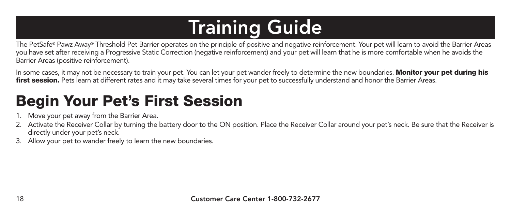# Training Guide

The PetSafe® Pawz Away® Threshold Pet Barrier operates on the principle of positive and negative reinforcement. Your pet will learn to avoid the Barrier Areas you have set after receiving a Progressive Static Correction (negative reinforcement) and your pet will learn that he is more comfortable when he avoids the Barrier Areas (positive reinforcement).

In some cases, it may not be necessary to train your pet. You can let your pet wander freely to determine the new boundaries. Monitor your pet during his first session. Pets learn at different rates and it may take several times for your pet to successfully understand and honor the Barrier Areas.

# Begin Your Pet's First Session

- 1. Move your pet away from the Barrier Area.
- 2. Activate the Receiver Collar by turning the battery door to the ON position. Place the Receiver Collar around your pet's neck. Be sure that the Receiver is directly under your pet's neck.
- 3. Allow your pet to wander freely to learn the new boundaries.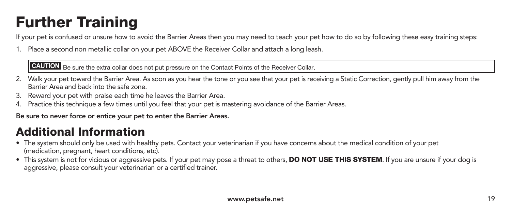# Further Training

If your pet is confused or unsure how to avoid the Barrier Areas then you may need to teach your pet how to do so by following these easy training steps:

1. Place a second non metallic collar on your pet ABOVE the Receiver Collar and attach a long leash.

**CAUTION** Be sure the extra collar does not put pressure on the Contact Points of the Receiver Collar.

- Walk your pet toward the Barrier Area. As soon as you hear the tone or you see that your pet is receiving a Static Correction, gently pull him away from the Barrier Area and back into the safe zone.
- 3. Reward your pet with praise each time he leaves the Barrier Area.
- 4. Practice this technique a few times until you feel that your pet is mastering avoidance of the Barrier Areas.

Be sure to never force or entice your pet to enter the Barrier Areas.

# Additional Information

- The system should only be used with healthy pets. Contact your veterinarian if you have concerns about the medical condition of your pet (medication, pregnant, heart conditions, etc).
- This system is not for vicious or aggressive pets. If your pet may pose a threat to others, **DO NOT USE THIS SYSTEM**. If you are unsure if your dog is aggressive, please consult your veterinarian or a certified trainer.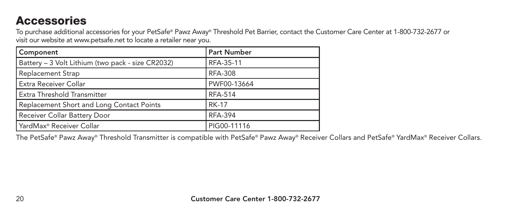# Accessories

To purchase additional accessories for your PetSafe® Pawz Away® Threshold Pet Barrier, contact the Customer Care Center at 1-800-732-2677 or visit our website at www.petsafe.net to locate a retailer near you.

| Component                                         | <b>Part Number</b> |
|---------------------------------------------------|--------------------|
| Battery – 3 Volt Lithium (two pack - size CR2032) | RFA-35-11          |
| <b>Replacement Strap</b>                          | <b>RFA-308</b>     |
| Extra Receiver Collar                             | PWF00-13664        |
| Extra Threshold Transmitter                       | <b>RFA-514</b>     |
| Replacement Short and Long Contact Points         | <b>RK-17</b>       |
| Receiver Collar Battery Door                      | <b>RFA-394</b>     |
| YardMax <sup>®</sup> Receiver Collar              | PIG00-11116        |

The PetSafe® Pawz Away® Threshold Transmitter is compatible with PetSafe® Pawz Away® Receiver Collars and PetSafe® YardMax® Receiver Collars.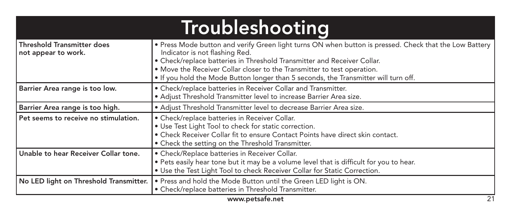#### Troubleshooting Threshold Transmitter does not appear to work. • Press Mode button and verify Green light turns ON when button is pressed. Check that the Low Battery Indicator is not flashing Red. • Check/replace batteries in Threshold Transmitter and Receiver Collar. • Move the Receiver Collar closer to the Transmitter to test operation. • If you hold the Mode Button longer than 5 seconds, the Transmitter will turn off. Barrier Area range is too low. **•** Check/replace batteries in Receiver Collar and Transmitter. • Adjust Threshold Transmitter level to increase Barrier Area size. Barrier Area range is too high. • • Adjust Threshold Transmitter level to decrease Barrier Area size. Pet seems to receive no stimulation.  $\cdot \cdot$  Check/replace batteries in Receiver Collar. • Use Test Light Tool to check for static correction. • Check Receiver Collar fit to ensure Contact Points have direct skin contact. • Check the setting on the Threshold Transmitter. Unable to hear Receiver Collar tone. • Check/Replace batteries in Receiver Collar. • Pets easily hear tone but it may be a volume level that is difficult for you to hear. • Use the Test Light Tool to check Receiver Collar for Static Correction. No LED light on Threshold Transmitter. • Press and hold the Mode Button until the Green LED light is ON. • Check/replace batteries in Threshold Transmitter.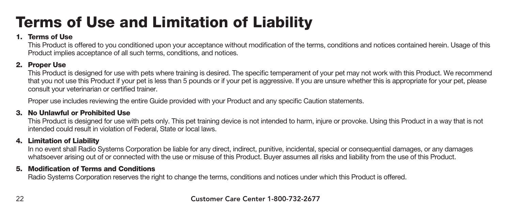# Terms of Use and Limitation of Liability

#### 1. Terms of Use

This Product is offered to you conditioned upon your acceptance without modification of the terms, conditions and notices contained herein. Usage of this Product implies acceptance of all such terms, conditions, and notices.

#### 2. Proper Use

This Product is designed for use with pets where training is desired. The specific temperament of your pet may not work with this Product. We recommend that you not use this Product if your pet is less than 5 pounds or if your pet is aggressive. If you are unsure whether this is appropriate for your pet, please consult your veterinarian or certified trainer.

Proper use includes reviewing the entire Guide provided with your Product and any specific Caution statements.

#### 3. No Unlawful or Prohibited Use

This Product is designed for use with pets only. This pet training device is not intended to harm, injure or provoke. Using this Product in a way that is not intended could result in violation of Federal, State or local laws.

#### 4. Limitation of Liability

In no event shall Radio Systems Corporation be liable for any direct, indirect, punitive, incidental, special or consequential damages, or any damages whatsoever arising out of or connected with the use or misuse of this Product. Buyer assumes all risks and liability from the use of this Product.

#### 5. Modification of Terms and Conditions

Radio Systems Corporation reserves the right to change the terms, conditions and notices under which this Product is offered.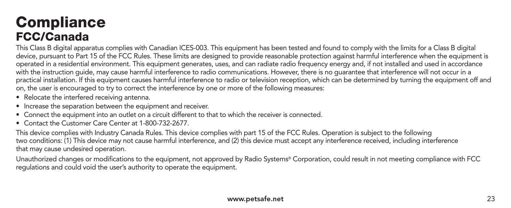# **Compliance** FCC/Canada

This Class B digital apparatus complies with Canadian ICES-003. This equipment has been tested and found to comply with the limits for a Class B digital device, pursuant to Part 15 of the FCC Rules. These limits are designed to provide reasonable protection against harmful interference when the equipment is operated in a residential environment. This equipment generates, uses, and can radiate radio frequency energy and, if not installed and used in accordance with the instruction guide, may cause harmful interference to radio communications. However, there is no guarantee that interference will not occur in a practical installation. If this equipment causes harmful interference to radio or television reception, which can be determined by turning the equipment off and on, the user is encouraged to try to correct the interference by one or more of the following measures:

- Relocate the interfered receiving antenna.
- Increase the separation between the equipment and receiver.
- Connect the equipment into an outlet on a circuit different to that to which the receiver is connected.
- Contact the Customer Care Center at 1-800-732-2677.

This device complies with Industry Canada Rules. This device complies with part 15 of the FCC Rules. Operation is subject to the following two conditions: (1) This device may not cause harmful interference, and (2) this device must accept any interference received, including interference that may cause undesired operation.

Unauthorized changes or modifications to the equipment, not approved by Radio Systems® Corporation, could result in not meeting compliance with FCC regulations and could void the user's authority to operate the equipment.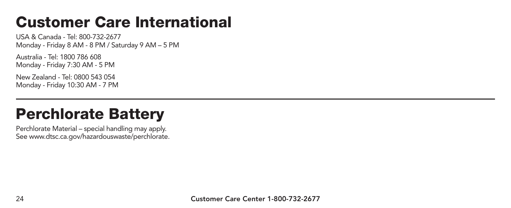# Customer Care International

USA & Canada - Tel: 800-732-2677 Monday - Friday 8 AM - 8 PM / Saturday 9 AM – 5 PM

Australia - Tel: 1800 786 608 Monday - Friday 7:30 AM - 5 PM

New Zealand - Tel: 0800 543 054 Monday - Friday 10:30 AM - 7 PM

# Perchlorate Battery

Perchlorate Material – special handling may apply. See www.dtsc.ca.gov/hazardouswaste/perchlorate.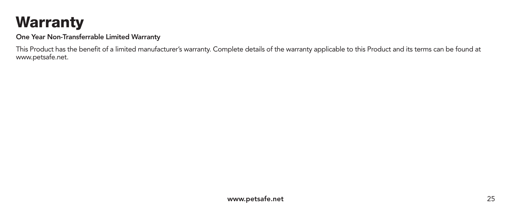# **Warranty**

#### One Year Non-Transferrable Limited Warranty

This Product has the benefit of a limited manufacturer's warranty. Complete details of the warranty applicable to this Product and its terms can be found at www.petsafe.net.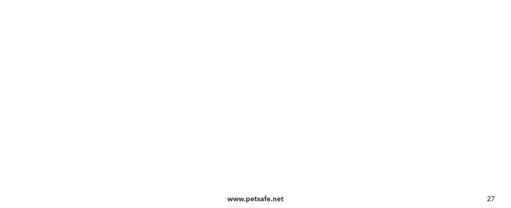#### www.petsafe.net 27